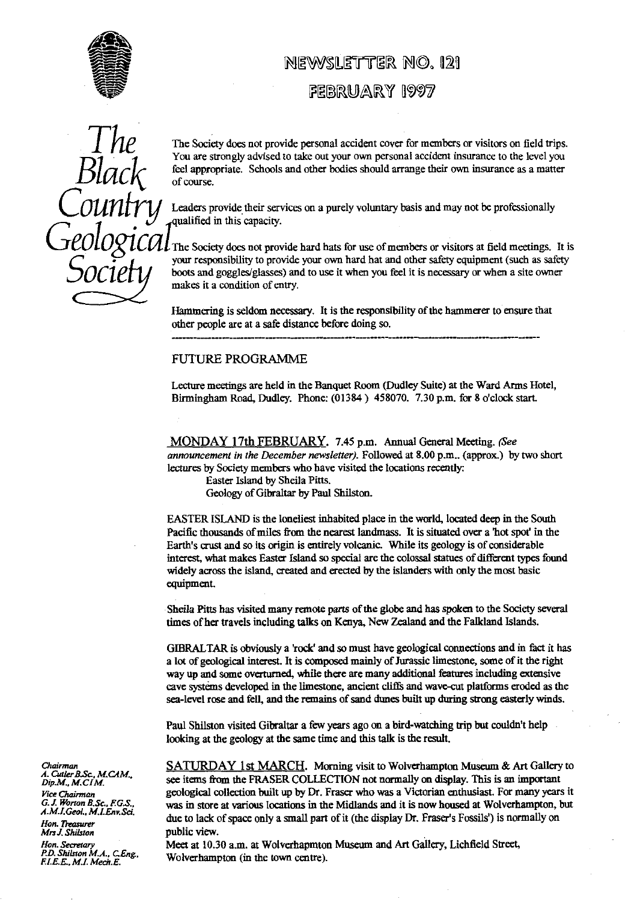

## NEWSLETTER NO. 121

### FEBRUARY 1997

*Blac)^* Socte

TThe Socie**ty** does not provide personal accident cover for members or visitors on field **tr**ips. You are strongly advised to take out your own personal accident insurance to the level you feel appropriate. Schools and other bodies should arrange their own insurance as a matter of course.

*(I'OUfl1ry* Leaders provide their services on a purely volunta**ry** basis and may not be profession**al**ly qualified in this capacity.

L The Society does not provide hard hats for use of members or visitors at field meetings. It is your responsibility to provide your own hard hat and other safety equipment (such as safety boots and goggles/glasses) and to use it when you feel it is necessary or when a site owner makes it a condition of ent**ry**.

Hammering is seldom necessary. It is the responsibility of the hammerer to ensure that other people are at a safe distance before doing so.

#### FUTURE PROGRAMME

Lecture meetings are held in the Banquet Room (Dudley Suite) at the Ward Arms Hotel, Birmingham Road, Dudley. Phone: (01384) 458070. 7.30 p.m. for 8 o'clock start.

MONDAY 17th FEBRUARY. 7.45 p.m. Annual General Meeting. (See *announcement in the* **December** *newsletter).* Followed at 8.00 p.m.. (approx.) by two short lectures by Society members who have visited the locations recently:

Easter Island by Sheila Pitts.

Geology of Gibraltar by Paul Shilston.

EASTER ISLAND is the loneliest inhabited place in the world, located deep in the South Pacific thousands of miles from the nearest landmass. It is situated over a'hot spot' in the Earth's crust and so its origin is entirely volcanic. While its geology is of considerable interest, what makes Easter Island so special are the colossal statues of different types found widely across the island, created and erected by the islanders with only the most basic equipment.

Sheila Pitts has visited many remote parts of the glo**be** and has spoken to the Society several times of her travels including talks on Kenya, New Zealand and the Falkland Islands.

GIBRALTAR is obviously a 'rock' and so must have geological connections and in fact it has a lot of geological interest. It is composed mainly of Jurassic limestone, some of it the right way up and some overturned, while there are many additional features including extensive cave systems developed in the limestone, ancient cliffs and wave-cut platforms eroded as the sea-level rose and fell, and the remains of sand dunes built up during strong easterly winds.

Paul Shilston visited Gibraltar a few years ago on a bird-watching trip but couldn't help looking at the geology at the same time and this talk is the result.

**SATURDAY 1st MARCH.** Morning visit to Wolverhampton Museum & Art Gallery to *Dip.M., M.CIM.*<br>*Dip.M., M.CIM.* see items from the FRASER COLLECTION not normally on display. This is an important Pice Chairman *Vice Chairman* geological collection built up by Dr. Fraser who was a Victorian enthusiast. For many years it G.J. Worton B.Sc., F.G.S., was in store at various locations in the Midlands and it is now housed at Wolverhamp A.M.I.Geol., M.I.Env.Sci.<br>Hon. Treasurer<br>Mrs J. Shilston public view.<br>Mrs J. Shilston public view.

*Hon. Secretary* Meet at 10.30 a.m. at Wolverhapmton Museum and A**rt** Galle**ry**, Lichfield Street, P.D.E.. M.I.n MA.. Mech.E. C..Eng. F.l\_E.E , M. Wolverhampton (in the town centre).

*C hairm A. Cutler B.Sc., M.CAM.*, *Dip.M.*, *M.CIM. Mrs J. Shilston*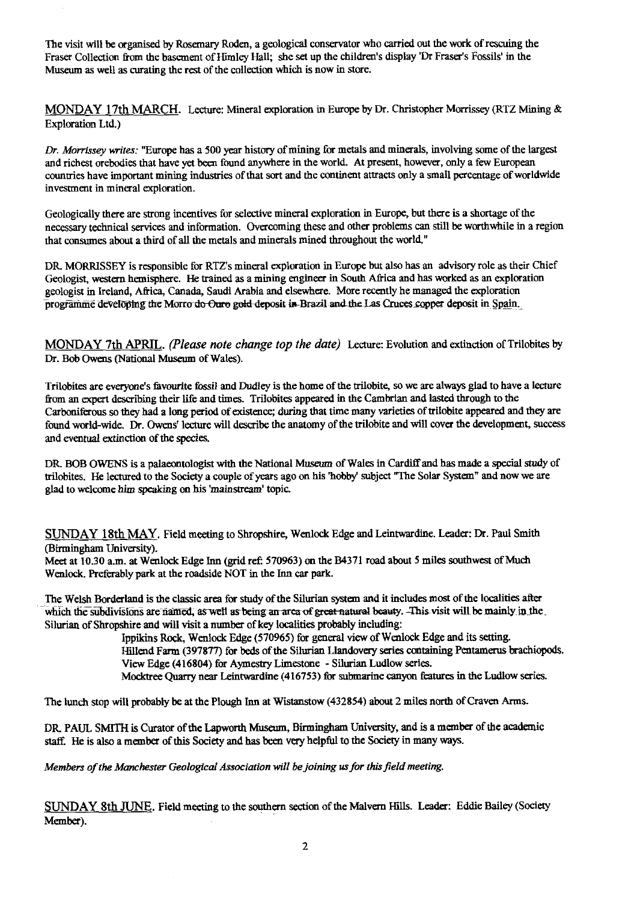The visit will be organised by Rosemary Roden, a geological conservator who carried out the work of rescuing the Fraser Collection from the basement of Himley Hall; she set up the children's display 'Dr Fraser's fossils' in the Museum as well as curating the rest of the collection which is now in store.

MONDAY 17th MARCH. Lecture: Mineral exploration in Europe by Dr. Christopher Morrissey (RTZ Mining & Exploration Ltd.)

*Dr. Morrissey writes:* "Europe has a 500 year history of mining for metals and minerals, involving some of the largest and richest orebodies that have yet been found anywhere in the world. At present, however, only a few European countries have important mining industries of that sort and the continent attracts only a small percentage of worldwide investment in mineral exploration.

Geologically there are strong incentives for selective mineral exploration in Europe, but there is a shortage of the necessary technical services and information. Overcoming these and other problems can still be worthwhile in a region that consumes about a third of all the metals and minerals mined throughout the world."

DR. MORRISSEY is responsible for RTZ's mineral exploration in Europe but also has an advisory role as their Chief Geologist, western hemisphere. He trained as a mining engineer in South Africa and has worked as an exploration geologist in Ireland, Africa, Canada, Saudi Arabia and elsewhere. More recently he managed the exploration programme developing the Morro do Oure gold deposit in Brazil and the Las Cruces copper deposit in Spain.

MONDAY 7th APRIL . *(Please note change top the date)* Lecture: Evolution and extinction of Trilobites by Dr. Bob Owens (National Museum of Wales).

Trilobites are everyone's favourite fossil and Dudley is the home of the trilobite, so we are always glad to have a lecture from an expert describing their life and times. Trilobites appeared in the Cambrian and lasted through to the Carboniferous so they had a long period of existence; during that time many varieties of trilobite appeared and they are found world-wide. Dr. Owens' lecture will describe the anatomy of the trilobite and will cover the development, success and eventual extinction of the species.

DR. BOB OWENS is a palaeontologist with the National Museum of Wales in Cardiff and has made a special study of trilobites. He lectured to the Society a couple of years ago on his 'hobby' subject "The Solar System" and now we are glad to welcome him speaking on his 'mainstream' topic.

SUNDAY 18th MAY. Field meeting to Shropshire, Wenlock Edge and Leintwardine. Leader: Dr. Paul Smith (Birmingham University).

Meet at 10.30 a.m. at Wenlock Edge Inn (grid ref: 570963) on the B4371 road about 5 miles southwest of Much Wenlock. Preferably park at the roadside NOT in the Inn car park.

The Welsh Borderland is the classic area for study of the Silurian system and it includes most of the localities after which the subdivisions are named, as well as being an area of great natural beauty. This visit will be mainly in the Silurian of Shropshire and will visit a number of key localities probably including:

> Ippikins Rock, Wenlock Edge (570965) for general view of Wenlock Edge and its setting. Hillend Farm (397877) for beds of the Silurian Llandovery series containing Pentamerus brachiopods. View Edge (416804) for Aymestry Limestone - Silurian Ludlow series. Mocktree Quarry near Leintwardine (416753) for submarine canyon features in the Ludlow series.

The lunch stop will probably be at the Plough Inn at Wistanstow (432854) about 2 miles north of Craven Arms.

DR PAUL SMITH is Curator of the Lapworth Museum, Birmingham University, and is a member of the academic staff. He is also a member of this Society and has been very helpful to the Society in many ways.

*Members of the Manchester Geological Association will be joining* us *for this field meeting.*

SUNDAY 8th JUNE. Field meeting to the southern section of the Malvern Hills. Leader: Eddie Bailey (Society Member).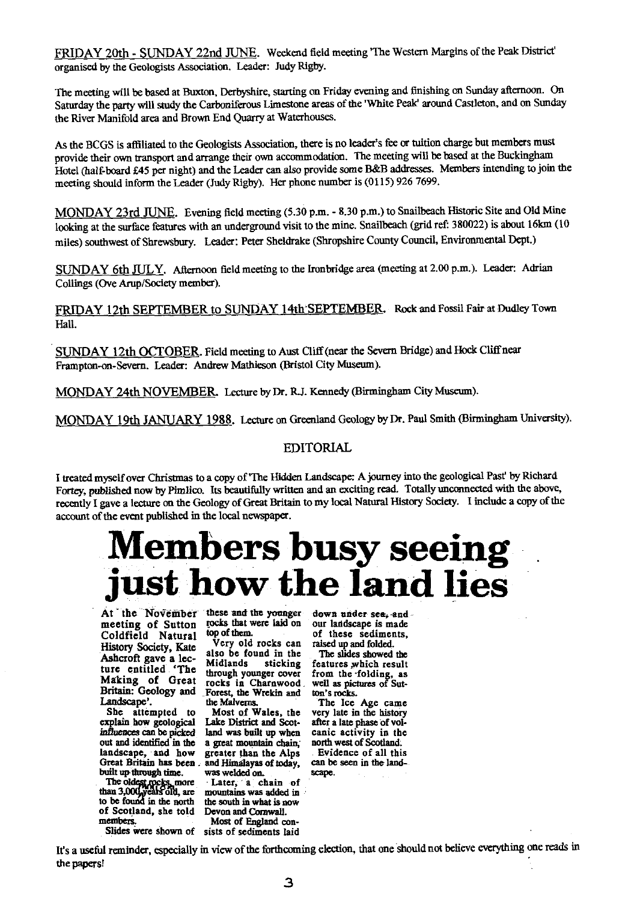FRIDAY 20th - SUNDAY 22nd JUNE. Weekend field meeting' The Western Margins of the Peak District' organised by the Geologists Association. Leader: Judy Rigby.

The meeting will be based at Buxton, Derbyshire, starting on Friday evening and finishing on Sunday afternoon. On Saturday the party will study the Carboniferous Limestone areas of the 'White Peak' around Castleton, and on Sunday the River Manifold area and Brown End Quarry at Waterhouses.

As the BCGS is affiliated to the Geologists Association, there is no leader's fee or tuition charge but members must provide their own transport and arrange their own accommodation. The meeting will be based at the Buckingham Hotel (half-board £45 per night) and the Leader can also provide some B&B addresses. Members intending to join the meeting should inform the Leader (Judy Rigby). Her phone number is (0115) 926 7699.

MONDAY 23rd JUNE. Evening field meeting (5.30 p.m. - 8.30 p.m.) to Snailbeach Historic Site and Old Mine looking at the surface features with an underground visit to the mine. Snailbeach (grid ref: 380022) is about 16km (10 miles) southwest of Shrewsbury. Leader: Peter Sheidrake (Shropshire County Council, Environmental Dept.)

SUNDAY 6th JULY. Afternoon field meeting to the Ironbridge area (meeting at 2.00 p.m.). Leader: Adrian Collings (Ove Arup/Society member).

FRIDAY 12th SEPTEMBER to SUNDAY 14th SEPTEMBER. Rock and Fossil Fair at Dudley Town Hall.

SUNDAY 12th OCTOBER. Field meeting to Aust Cliff (near the Severn Bridge) and Hock Cliff near Frampton-on-Severn. Leader: Andrew Mathieson (Bristol City Museum).

MONDAY 24th NOVEMBER Lecture by Dr. **RJ.** Kennedy (Birmingham City Museum).

MONDAY 19th JANUARY 1988. Lecture on Greenland Geology by Dr. Paul Smith (Birmingham University).

#### EDITORIAL

I treated myself over Christmas to a copy of'The Hidden Landscape: A journey into the geological Past' by Richard Fortey, published now by Pimlico. Its beautifully written and an exciting read. Totally unconnected with the above, recently I gave a lecture on the Geology of Great Britain to my local Natural History Society. I include a copy of the account of the event published in the local newspaper.

# **Members busy seeing just how the land lies**

meeting of Sutton *cocks* that were laid on our landscape is made<br>Coldfield Natural  $\frac{1}{2}$  top of them. of these sediments, **Coldfield Natural top fure** entitled The **Making of** Great

than 3,000, years old, are mountains was added in the found in the north the south in what is now to be found in the north the south in what is now<br>of Scotland, she told Devon and Cornwall.<br>members. Most of England con-

At the November these and the younger down under sea, and meeting of Sutton rocks that were laid on our landscape is made

**History Society, Kate** Very old rocks can raised up and folded.<br>A shared gave a last also be found in the The slides showed the <sup>A</sup>**Ashcroft gave a lec- also** be **found** in the The slides showed the Midlands sticking features which result<br>through younger cover from the folding, as **through younger cover from the -folding,** as Making of Great rocks in Charnwood<br>Britain: Geology and Forest, the Wrekin and \_Forest, **the Wrekin** and

**Most of Wales, the very late in the history Lake District and Scot-<br>after a late phase of volexplain how geological Lake District and** Scot- after a late phase of vol**influences can** be **picked land was built up** when canic activity in the **out and identified in the** a great mountain **chain, north** west **of Scotland: landscape,** and **how greater than the** Alps **Evidence** of **all this Great Britain has** been. **and Himalayas of today, can be seen in the landbuilt up-through time.** was welded on. **i** scape.<br>The oldest rocks, more Later, a chain of

**Theo more Later, a chain of members. Most** of **England** con-Slides were **shown** of sists of **sediments laid**

of them. of **these sediments,**

**well as pictures of Sutton's** rocks.

Landscape'. **The Malverns.** The Ice Age came<br>She attempted to Most of Wales, the very late in the history

**It's a useful reminder, especially in view of the forthcoming election, that one should not believe everything one reads in the paps!**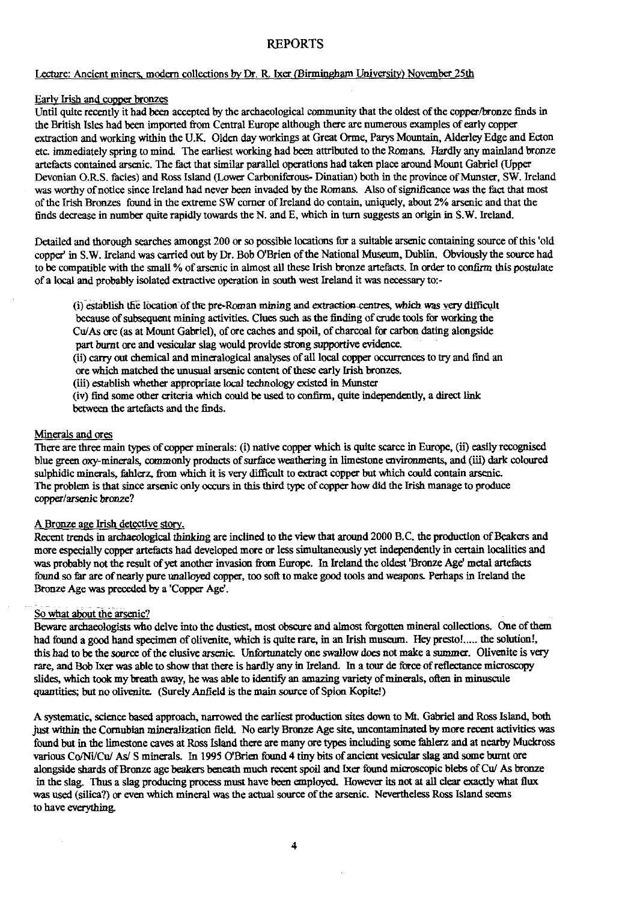#### **REPORTS**

#### Lecture: Ancient miners, modern collections by Dr. R. Ixer (Birmingham University) November 25th

#### Early Irish and copper bronzes

Until quite recently it had been accepted by the archaeological community that the oldest of the copper/bronze finds in the British Isles had been imported from Central Europe although there are numerous examples of early copper extraction and working within the U.K. Olden day workings at Great Orme, Parys Mountain, Alderley Edge and Ecton etc. immediately spring to mind. The earliest working had been attributed to the Romans. Hardly any mainland bronze artefacts contained arsenic. The fact that similar parallel operations had taken place around Mount Gabriel (Upper Devonian O.RS. facies) and Ross Island (Lower Carboniferous- Dinatian) both in the province of Munster, SW. Ireland was worthy of notice since Ireland had never been invaded by the Romans. Also of significance was the fact that most of the Irish Bronzes found in the extreme SW corner of Ireland do contain, uniquely, about 2% arsenic and that the finds decrease in number quite rapidly towards the N. and E, which in turn suggests an origin in S.W. Ireland.

Detailed and thorough searches amongst 200 or so possible locations for a suitable arsenic containing source of this 'old copper' in S.W. Ireland was carried out by Dr. Bob O'Brien of the National Museum, Dublin. Obviously the source had to be compatible with the small % of arsenic in almost all these Irish bronze artefacts. In order to confirm this postulate of a local and probably isolated extractive operation in south west Ireland it was necessary to:-

(i) establish the location of the pre-Roman mining and extraction-centres, which was very difficult because of subsequent mining activities. Clues such as the finding of crude tools for working the Cu/As ore (as at Mount Gabriel), of ore caches and spoil, of charcoal for carbon dating alongside part burnt ore and vesicular slag would provide strong supportive evidence.

(ii) carry out chemical and mineralogical analyses of all local copper occurrences to try and find an ore which matched the unusual arsenic content of these early Irish bronzes.

(iii) establish whether appropriate local technology existed in Munster

(iv) find some other criteria which could be used to confirm, quite independently, a direct fink between the artefacts and the finds.

#### Minerals and ores

There are three main types of copper minerals: (i) native copper which is quite scarce in Europe, (ii) easily recognised blue green oxy-minerals, commonly products of surface weathering in limestone environments, and (iii) dark coloured sulphidic minerals, fahlerz, from which it is very difficult to extract copper but which could contain arsenic. The problem is that since arsenic only occurs in this third type of copper how did the Irish manage to produce copper/arsenic bronze?

#### A Bronze aae Irish detective story.

Recent trends in archaeological thinking are inclined to the view that around 2000 B.C. the production of Beakers and more especially copper artefacts had developed more or less simultaneously yet independently in certain localities and was probably not the result of yet another invasion from Europe. In Ireland the oldest 'Bronze Age' metal artefacts found so far are of nearly pure unalloyed copper, too soft to make good tools and weapons. Perhaps in Ireland the Bronze Age was preceded by a 'Copper Age'.

#### So what about the arsenic?

Beware archaeologists who delve into the dustiest, most obscure and almost forgotten mineral collections. One of them had found a good hand specimen of olivenite, which is quite rare, in an Irish museum. Hey presto!..... the solution!, this had to be the source of the elusive arsenic. Unfortunately one swallow does not make a summer. Olivenite is very rare, and Bob Ixer was able to show that there is hardly any in Ireland. In a tour de force of reflectance microscopy slides, which took my breath away, he was able to identify an amazing variety of minerals, often in minuscule quantities; but no olivenite. (Surely Anfield is the main source of Spion Kopite!)

A systematic, science based approach, narrowed the earliest production sites down to Mt. Gabriel and Ross Island, both just within the Cornubian mineralization field. No early Bronze Age site, uncontaminated by more recent activities was found but in the limestone caves at Ross Island there are many ore types including some fahlerz and at nearby Muckross various Co/Ni/Cu/ As/ S minerals. In 1995 O'Brien found 4 tiny bits of ancient vesicular slag and some burnt ore alongside shards of Bronze age beakers beneath much recent spoil and Ixer found microscopic blebs of Cu/ As bronze in the slag. Thus a slag producing process must have been employed. However its not at all clear exactly what flux was used (silica?) or even which mineral was the actual source of the arsenic. Nevertheless Ross Island seems to have everything.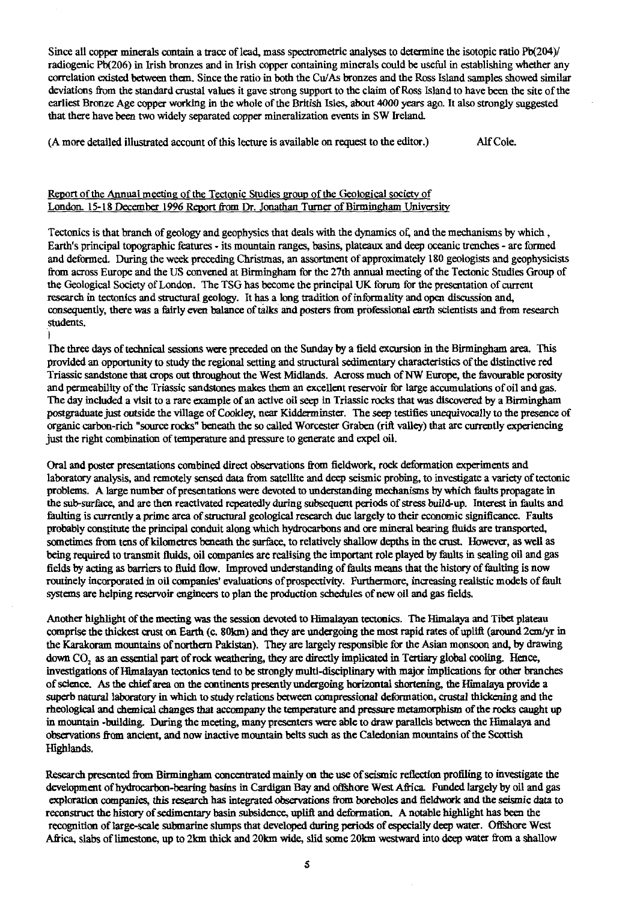Since all copper minerals contain a trace of lead, mass spectrometric analyses to determine the isotopic ratio Pb(204) radiogenic Pb(206) in Irish bronzes and in Irish copper containing minerals could be useful in establishing whether any correlation existed between them. Since the ratio in both the Cu/As bronzes and the Ross Island samples showed similar deviations from the standard crustal values it gave strong support to the claim of Ross Island to have been the site of the earliest Bronze Age copper working in the whole of the British Isles, about 4000 years ago. It also strongly suggested that there have been two widely separated copper mineralization events in SW Ireland.

(A more detailed illustrated account of this lecture is available on request to the editor.) Alf Cole.

#### Report of the Annual meeting of the Tectonic Studies group of the Geological society of London. 15-18 December 1996 Report from Dr. Jonathan\_ Turner of Birmingham University

Tectonics is that branch of geology and geophysics that deals with the dynamics of, and the mechanisms by which, Earth's principal topographic features - its mountain ranges, basins, plateaux and deep oceanic trenches - are formed and deformed. During the week preceding Christmas, an assortment of approximately 180 geologists and geophysicists from across Europe and the US convened at Birmingham for the 27th annual meeting of the Tectonic Studies Group of the Geological Society of London. The TSG has become the principal UK forum for the presentation of current research in tectonics and structural geology. It has a long tradition of informality and open discussion and, consequently, there was a fairly even balance of talks and posters from professional earth scientists and from research students.

The three days of technical sessions were preceded on the Sunday by a field excursion in the Birmingham area. This provided an opportunity to study the regional setting and structural sedimentary characteristics of the distinctive red Triassic sandstone that crops out throughout the West Midlands. Across much of NW Europe, the favourable porosity and permeability of the Triassic sandstones makes them an excellent reservoir for large accumulations of oil and gas. The day included a visit to a rare example of an active oil seep in Triassic rocks that was discovered by a Birmingham postgraduate just outside the village of Cookley, near Kidderminster. The seep testifies unequivocally to the presence of organic carbon-rich "source rocks" beneath the so called Worcester Graben (rift valley) that are currently experiencing just the right combination of temperature and pressure to generate and expel oil.

Oral and poster presentations combined direct observations from fieldwork, rock deformation experiments and laboratory analysis, and remotely sensed data from satellite and deep seismic probing, to investigate a variety of tectonic problems. A large number of presentations were devoted to understanding mechanisms by which faults propagate in the sub-surface, and are then reactivated repeatedly during subsequent periods of stress build-up. Interest in faults and faulting is currently a prime area of structural geological research due largely to their economic significance. Faults probably constitute the principal conduit along which hydrocarbons and are mineral bearing fluids are transported, sometimes from tens of kilometres beneath the surface, to relatively shallow depths in the crust. However, as well as being required to transmit fluids, oil companies are realising the important role played by faults in sealing oil and gas fields by acting as barriers to fluid flow. Improved understanding of faults means that the history of faulting is now routinely incorporated in oil companies' evaluations of prospectivity. Furthermore, increasing realistic models of fault systems are helping reservoir engineers to plan the production schedules of new oil and gas fields.

Another highlight of the meeting was the session devoted to Himalayan tectonics. The Himalaya and Tibet plateau comprise the thickest crust on Earth (c. 80km) and they are undergoing the most rapid rates of uplift (around 2cm/yr in the Karakoram mountains of northern Pakistan). They are largely responsible for the Asian monsoon and, by drawing down CO, as an essential part of rock weathering, they are directly implicated in Tertiary global cooling. Hence, investigations of Himalayan tectonics tend to be strongly multi-disciplinary with major implications for other branches of science. As the chief area on the continents presently undergoing horizontal shortening, the Himalaya provide a superb natural laboratory in which to study relations between compressional deformation, crustal thickening and the rheological and chemical changes that accompany the temperature and pressure metamorphism of the rocks caught up in mountain -building. During the meeting, many presenters were able to draw parallels between the Himalaya and observations from ancient, and now inactive mountain belts such as the Caledonian mountains of the Scottish Highlands.

Research presented from Birmingham concentrated mainly on the use of seismic reflection profiling to investigate the development of hydrocarbon-bearing basins in Cardigan Bay and offshore West Africa. Funded largely by oil and gas exploration companies, this research has integrated observations from boreholes and fieldwork and the seismic data to reconstruct the history of sedimentary basin subsidence, uplift and deformation. A notable highlight has been the recognition of large-scale submarine slumps that developed during periods of especially deep water. Offshore West Africa, slabs of limestone, up to 2km thick and 20km wide, slid some 20km westward into deep water from a shallow